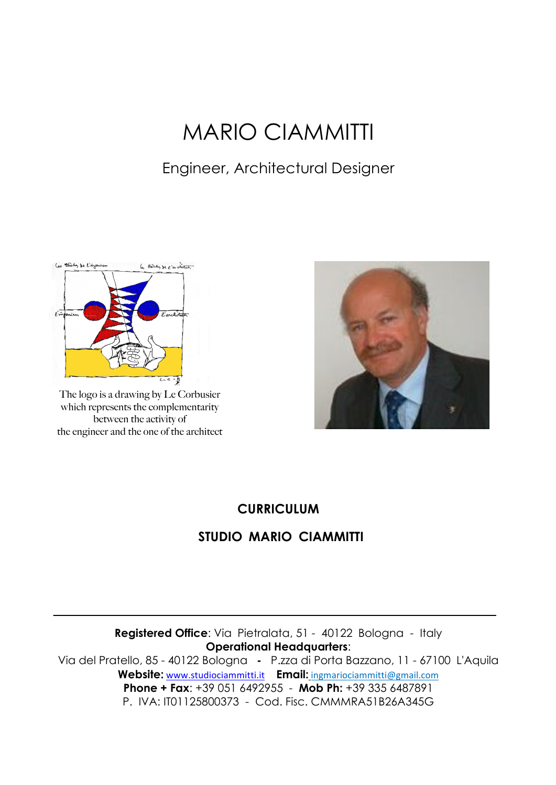# MARIO CIAMMITTI

## Engineer, Architectural Designer



The logo is a drawing by Le Corbusier which represents the complementarity between the activity of the engineer and the one of the architect



#### **CURRICULUM**

### **STUDIO MARIO CIAMMITTI**

**Registered Office**: Via Pietralata, 51 - 40122 Bologna - Italy **Operational Headquarters**: Via del Pratello, 85 - 40122 Bologna **-** P.zza di Porta Bazzano, 11 - 67100 L'Aquila **Website:** www.studiociammitti.it!!!!!**Email:** ingmariociammitti@gmail.com **Phone + Fax**: +39 051 6492955 - **Mob Ph:** +39 335 6487891 P. IVA: IT01125800373 - Cod. Fisc. CMMMRA51B26A345G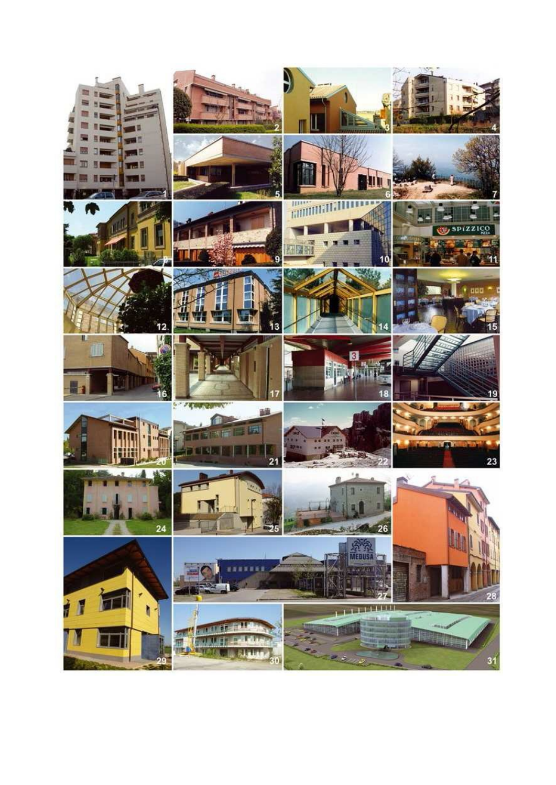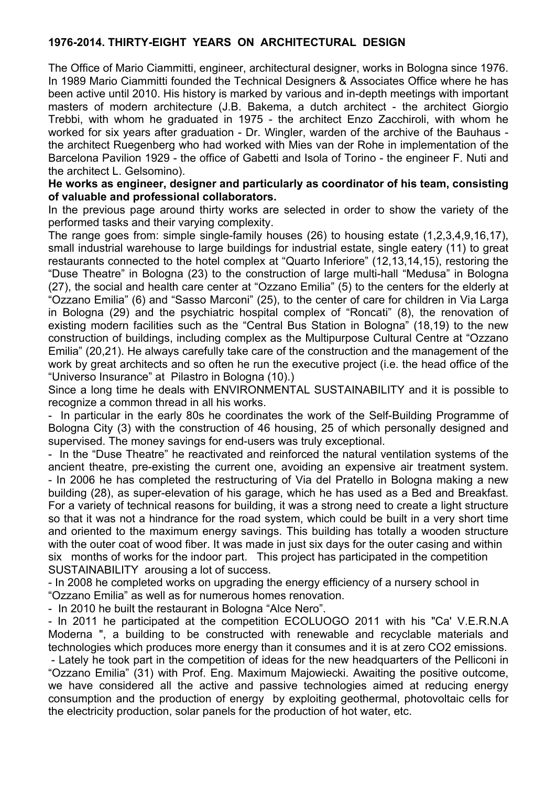#### **1976-2014. THIRTY-EIGHT YEARS ON ARCHITECTURAL DESIGN**

The Office of Mario Ciammitti, engineer, architectural designer, works in Bologna since 1976. In 1989 Mario Ciammitti founded the Technical Designers & Associates Office where he has been active until 2010. His history is marked by various and in-depth meetings with important masters of modern architecture (J.B. Bakema, a dutch architect - the architect Giorgio Trebbi, with whom he graduated in 1975 - the architect Enzo Zacchiroli, with whom he worked for six years after graduation - Dr. Wingler, warden of the archive of the Bauhaus the architect Ruegenberg who had worked with Mies van der Rohe in implementation of the Barcelona Pavilion 1929 - the office of Gabetti and Isola of Torino - the engineer F. Nuti and the architect L. Gelsomino).

**He works as engineer, designer and particularly as coordinator of his team, consisting of valuable and professional collaborators.**

In the previous page around thirty works are selected in order to show the variety of the performed tasks and their varying complexity.

The range goes from: simple single-family houses (26) to housing estate (1,2,3,4,9,16,17), small industrial warehouse to large buildings for industrial estate, single eatery (11) to great restaurants connected to the hotel complex at "Quarto Inferiore" (12,13,14,15), restoring the "Duse Theatre" in Bologna (23) to the construction of large multi-hall "Medusa" in Bologna (27), the social and health care center at "Ozzano Emilia" (5) to the centers for the elderly at "Ozzano Emilia" (6) and "Sasso Marconi" (25), to the center of care for children in Via Larga in Bologna (29) and the psychiatric hospital complex of "Roncati" (8), the renovation of existing modern facilities such as the "Central Bus Station in Bologna" (18,19) to the new construction of buildings, including complex as the Multipurpose Cultural Centre at "Ozzano Emilia" (20,21). He always carefully take care of the construction and the management of the work by great architects and so often he run the executive project (i.e. the head office of the "Universo Insurance" at Pilastro in Bologna (10).)

Since a long time he deals with ENVIRONMENTAL SUSTAINABILITY and it is possible to recognize a common thread in all his works.

- In particular in the early 80s he coordinates the work of the Self-Building Programme of Bologna City (3) with the construction of 46 housing, 25 of which personally designed and supervised. The money savings for end-users was truly exceptional.

- In the "Duse Theatre" he reactivated and reinforced the natural ventilation systems of the ancient theatre, pre-existing the current one, avoiding an expensive air treatment system. - In 2006 he has completed the restructuring of Via del Pratello in Bologna making a new building (28), as super-elevation of his garage, which he has used as a Bed and Breakfast. For a variety of technical reasons for building, it was a strong need to create a light structure so that it was not a hindrance for the road system, which could be built in a very short time and oriented to the maximum energy savings. This building has totally a wooden structure with the outer coat of wood fiber. It was made in just six days for the outer casing and within six months of works for the indoor part. This project has participated in the competition SUSTAINABILITY arousing a lot of success.

- In 2008 he completed works on upgrading the energy efficiency of a nursery school in "Ozzano Emilia" as well as for numerous homes renovation.

- In 2010 he built the restaurant in Bologna "Alce Nero".

- In 2011 he participated at the competition ECOLUOGO 2011 with his "Ca' V.E.R.N.A Moderna ", a building to be constructed with renewable and recyclable materials and technologies which produces more energy than it consumes and it is at zero CO2 emissions.

- Lately he took part in the competition of ideas for the new headquarters of the Pelliconi in "Ozzano Emilia" (31) with Prof. Eng. Maximum Majowiecki. Awaiting the positive outcome, we have considered all the active and passive technologies aimed at reducing energy consumption and the production of energy by exploiting geothermal, photovoltaic cells for the electricity production, solar panels for the production of hot water, etc.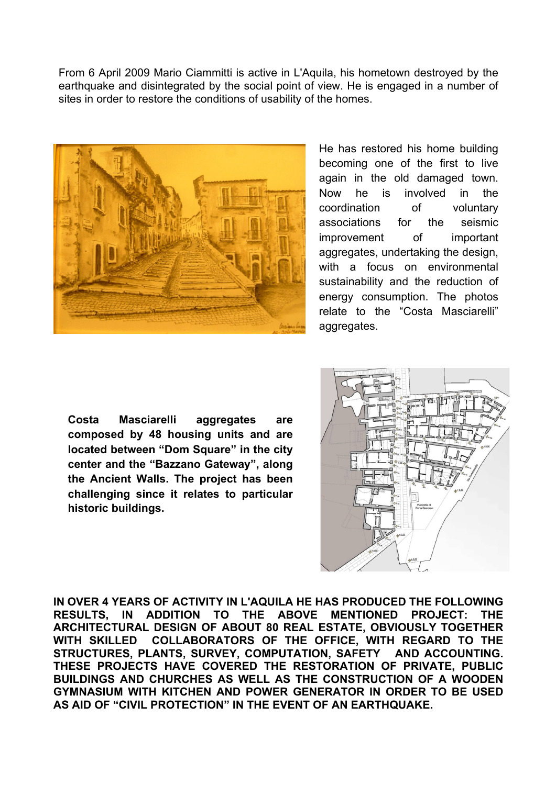From 6 April 2009 Mario Ciammitti is active in L'Aquila, his hometown destroyed by the earthquake and disintegrated by the social point of view. He is engaged in a number of sites in order to restore the conditions of usability of the homes.



He has restored his home building becoming one of the first to live again in the old damaged town. Now he is involved in the coordination of voluntary associations for the seismic improvement of important aggregates, undertaking the design, with a focus on environmental sustainability and the reduction of energy consumption. The photos relate to the "Costa Masciarelli" aggregates.

**Costa Masciarelli aggregates are composed by 48 housing units and are located between "Dom Square" in the city center and the "Bazzano Gateway", along the Ancient Walls. The project has been challenging since it relates to particular historic buildings.**



**IN OVER 4 YEARS OF ACTIVITY IN L'AQUILA HE HAS PRODUCED THE FOLLOWING RESULTS, IN ADDITION TO THE ABOVE MENTIONED PROJECT: THE ARCHITECTURAL DESIGN OF ABOUT 80 REAL ESTATE, OBVIOUSLY TOGETHER WITH SKILLED COLLABORATORS OF THE OFFICE, WITH REGARD TO THE STRUCTURES, PLANTS, SURVEY, COMPUTATION, SAFETY AND ACCOUNTING. THESE PROJECTS HAVE COVERED THE RESTORATION OF PRIVATE, PUBLIC BUILDINGS AND CHURCHES AS WELL AS THE CONSTRUCTION OF A WOODEN GYMNASIUM WITH KITCHEN AND POWER GENERATOR IN ORDER TO BE USED AS AID OF "CIVIL PROTECTION" IN THE EVENT OF AN EARTHQUAKE.**